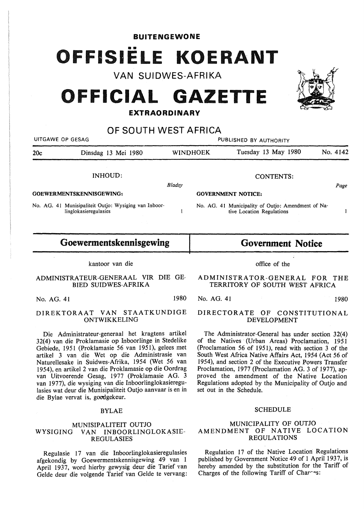BUITENGEWONE FISIËLE KOERANT

VAN SUIDWES-AFRIKA

# **FFICIAL GAZETTE**

## **EXTRAORDINARY**

| OF SOUTH WEST AFRICA            |                                                                                |                 |                           |                                                                                 |          |  |
|---------------------------------|--------------------------------------------------------------------------------|-----------------|---------------------------|---------------------------------------------------------------------------------|----------|--|
| UITGAWE OP GESAG                |                                                                                |                 | PUBLISHED BY AUTHORITY    |                                                                                 |          |  |
| 20c                             | Dinsdag 13 Mei 1980                                                            | <b>WINDHOEK</b> |                           | Tuesday 13 May 1980                                                             | No. 4142 |  |
|                                 | INHOUD:                                                                        |                 |                           | CONTENTS:                                                                       |          |  |
|                                 |                                                                                | Bladsy          |                           |                                                                                 | Page     |  |
| <b>GOEWERMENTSKENNISGEWING:</b> |                                                                                |                 | <b>GOVERNMENT NOTICE:</b> |                                                                                 |          |  |
|                                 | No. AG. 41 Munisipaliteit Outjo: Wysiging van Inboor-<br>linglokasieregulasies |                 |                           | No. AG. 41 Municipality of Outjo: Amendment of Na-<br>tive Location Regulations |          |  |
|                                 |                                                                                |                 |                           |                                                                                 |          |  |

### **Goewermentskennisgewing**

#### kantoor van die

#### ADMINISTRATEUR-GENERAAL VIR DIE GE-BIED SUIDWES-AFRIKA

#### **DIREKTORAAT VAN STAATKUNDIGE ONTWIKKELING**

Die Administrateur-generaal het kragtens artikel 32(4) van die Proklamasie op Inboorlinge in Stedelike Gebiede, 1951 (Proklamasie 56 van 1951), gelees met artikel 3 van die Wet op die Administrasie van Naturellesake in Suidwes-Afrika, 1954 (Wet 56 van 1954), en artikel 2 van die Proklamasie op die Oordrag van Uitvoerende Gesag, 1977 (Proklamasie AG. 3 van 1977), die wysiging van die Inboorlinglokasieregulasies wat deur die Munisipaliteit Outjo aanvaar is en in die Bylae vervat is, goedgekeur.

#### BYLAE

#### MUNISIPALITEIT OUTJO WYSIGING VAN INBOORLINGLOKASIE-**REGULASIES**

Regulasie 17 van die Inboorlinglokasieregulasies afgekondig by Goewermentskennisgewing 49 van 1 April 1937, word hierby gewysig deur die Tarief yan Gelde deur die volgende Tarief van Gelde te vervang: **Government Notice** 

#### ADMINISTRATOR-GENERAL FOR THE TERRITORY OF SOUTH WEST AFRICA

No. AG. 41 1980 1980 No. AG. 41 1980 1980

#### DIRECTORATE OF CONSTITUTIONAL DEVELOPMENT

The Administrator-General has under section 32(4) of the Natives (Urban Areas) Proclamation, 1951 (Proclamation 56 of 1951), read with section 3 of the South West Africa Native Affairs Act, 1954 (Act 56 of 1954), and section 2 of the Executive Powers Transfer Proclamation, 1977 (Proclamation AG. 3 of 1977), approved the amendment of the Native Location Regulations adopted by the Municipality of Outjo and set out in the Schedule.

#### SCHEDULE

#### MUNICIPALITY OF OUTJO AMENDMENT OF NATIVE LOCATION **REGULATIONS**

Regulation 17 of the Native Location: Regulations published by Government Notice 49 of 1 April 1937, is hereby amended by the substitution for the Tariff of Charges of the following Tariff of Char $\sim$ s:

office of the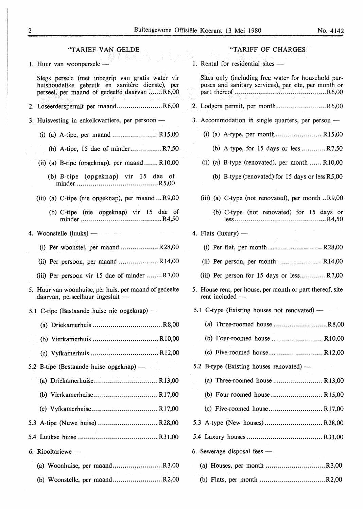| "TARIEF VAN GELDE                                                                                                                                                                                                               | "TARIFF OF CHARGES                                                                                                       |
|---------------------------------------------------------------------------------------------------------------------------------------------------------------------------------------------------------------------------------|--------------------------------------------------------------------------------------------------------------------------|
| 1. Huur van woonpersele -                                                                                                                                                                                                       | 1. Rental for residential sites -                                                                                        |
| Slegs persele (met inbegrip van gratis water vir<br>huishoudelike gebruik en sanitêre dienste), per<br>perseel, per maand of gedeelte daarvan R6,00                                                                             | Sites only (including free water for household pur-<br>poses and sanitary services), per site, per month or<br>그는 다섯 시간에 |
| 2. Loseerderspermit per maandR6,00                                                                                                                                                                                              | 2. Lodgers permit, per monthR6,00                                                                                        |
| 3. Huisvesting in enkelkwartiere, per persoon -                                                                                                                                                                                 | 3. Accommodation in single quarters, per person —                                                                        |
| (i) (a) A-tipe, per maand R15,00                                                                                                                                                                                                |                                                                                                                          |
| (b) A-tipe, 15 dae of minderR7,50                                                                                                                                                                                               | (b) A-type, for 15 days or less $R7,50$                                                                                  |
| (ii) (a) B-tipe (opgeknap), per maand $R10,00$                                                                                                                                                                                  | (ii) (a) B-type (renovated), per month $R$ 10,00                                                                         |
| (b) B-tipe (opgeknap) vir 15 dae of                                                                                                                                                                                             | (b) B-type (renovated) for $15 \text{ days}$ or $less R5,00$                                                             |
| (iii) (a) C-tipe (nie opgeknap), per maand R9,00                                                                                                                                                                                | (iii) (a) C-type (not renovated), per month R9,00                                                                        |
| (b) C-tipe (nie opgeknap) vir 15 dae of                                                                                                                                                                                         | (b) C-type (not renovated) for 15 days or                                                                                |
| 4. Woonstelle (luuks) — $\sim$ 1. The second second second second second second second second second second second second second second second second second second second second second second second second second second sec | 4. Flats (luxury) —                                                                                                      |
| (i) Per woonstel, per maand  R28,00                                                                                                                                                                                             | アルライス ぼうないし 素<br>(i) Per flat, per month  R28,00                                                                         |
| (ii) Per persoon, per maand  R14,00                                                                                                                                                                                             |                                                                                                                          |
| (iii) Per persoon vir 15 dae of minder R7,00                                                                                                                                                                                    | (iii) Per person for 15 days or $less$ $R7,00$                                                                           |
| 5. Huur van woonhuise, per huis, per maand of gedeelte<br>$d$ aarvan, perseelhuur ingesluit —                                                                                                                                   | 5. House rent, per house, per month or part thereof, site<br>rent included -                                             |
| 5.1 C-tipe (Bestaande huise nie opgeknap) —                                                                                                                                                                                     | 5.1 C-type (Existing houses not renovated) —                                                                             |
|                                                                                                                                                                                                                                 |                                                                                                                          |
|                                                                                                                                                                                                                                 | (b) Four-roomed house  R10,00                                                                                            |
|                                                                                                                                                                                                                                 |                                                                                                                          |
| 5.2 B-tipe (Bestaande huise opgeknap) —                                                                                                                                                                                         | 5.2 B-type (Existing houses renovated) —                                                                                 |
|                                                                                                                                                                                                                                 |                                                                                                                          |
|                                                                                                                                                                                                                                 |                                                                                                                          |
|                                                                                                                                                                                                                                 |                                                                                                                          |
|                                                                                                                                                                                                                                 |                                                                                                                          |
|                                                                                                                                                                                                                                 |                                                                                                                          |
| 6. Riooltariewe -                                                                                                                                                                                                               | 6. Sewerage disposal fees —                                                                                              |
| (a) Woonhuise, per maandR3,00                                                                                                                                                                                                   |                                                                                                                          |
| (b) Woonstelle, per maandR2,00                                                                                                                                                                                                  |                                                                                                                          |